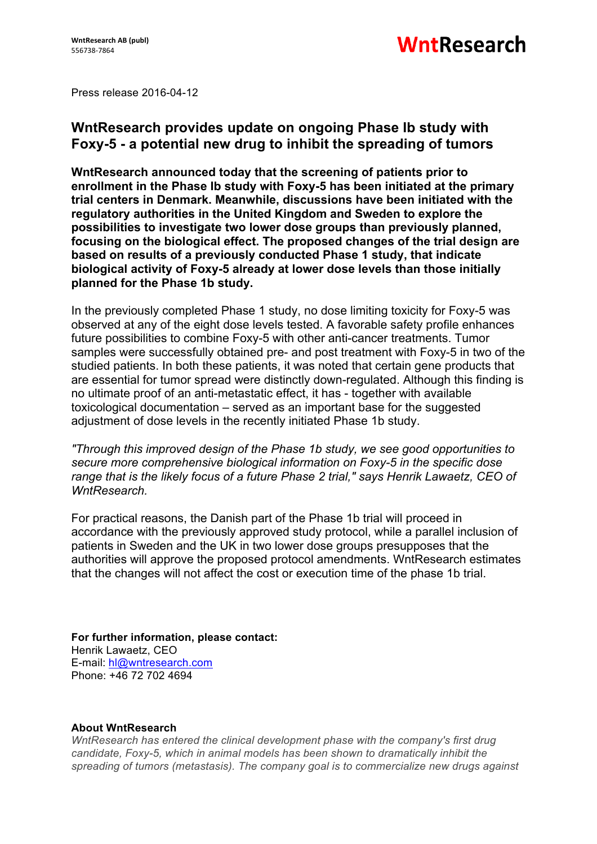Press release 2016-04-12

## **WntResearch provides update on ongoing Phase Ib study with Foxy-5 - a potential new drug to inhibit the spreading of tumors**

**WntResearch announced today that the screening of patients prior to enrollment in the Phase Ib study with Foxy-5 has been initiated at the primary trial centers in Denmark. Meanwhile, discussions have been initiated with the regulatory authorities in the United Kingdom and Sweden to explore the possibilities to investigate two lower dose groups than previously planned, focusing on the biological effect. The proposed changes of the trial design are based on results of a previously conducted Phase 1 study, that indicate biological activity of Foxy-5 already at lower dose levels than those initially planned for the Phase 1b study.**

In the previously completed Phase 1 study, no dose limiting toxicity for Foxy-5 was observed at any of the eight dose levels tested. A favorable safety profile enhances future possibilities to combine Foxy-5 with other anti-cancer treatments. Tumor samples were successfully obtained pre- and post treatment with Foxy-5 in two of the studied patients. In both these patients, it was noted that certain gene products that are essential for tumor spread were distinctly down-regulated. Although this finding is no ultimate proof of an anti-metastatic effect, it has - together with available toxicological documentation – served as an important base for the suggested adjustment of dose levels in the recently initiated Phase 1b study.

*"Through this improved design of the Phase 1b study, we see good opportunities to secure more comprehensive biological information on Foxy-5 in the specific dose range that is the likely focus of a future Phase 2 trial," says Henrik Lawaetz, CEO of WntResearch.*

For practical reasons, the Danish part of the Phase 1b trial will proceed in accordance with the previously approved study protocol, while a parallel inclusion of patients in Sweden and the UK in two lower dose groups presupposes that the authorities will approve the proposed protocol amendments. WntResearch estimates that the changes will not affect the cost or execution time of the phase 1b trial.

**For further information, please contact:** Henrik Lawaetz, CEO E-mail: hl@wntresearch.com Phone: +46 72 702 4694

## **About WntResearch**

*WntResearch has entered the clinical development phase with the company's first drug candidate, Foxy-5, which in animal models has been shown to dramatically inhibit the spreading of tumors (metastasis). The company goal is to commercialize new drugs against*